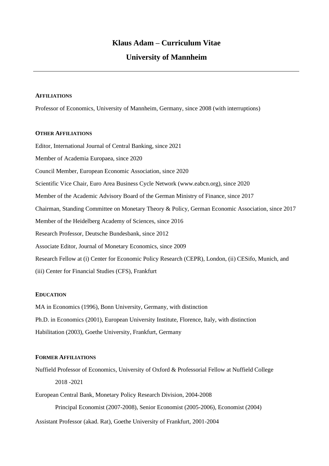# **University of Mannheim**

#### **AFFILIATIONS**

Professor of Economics, University of Mannheim, Germany, since 2008 (with interruptions)

### **OTHER AFFILIATIONS**

Editor, International Journal of Central Banking, since 2021 Member of Academia Europaea, since 2020 Council Member, European Economic Association, since 2020 Scientific Vice Chair, Euro Area Business Cycle Network (www.eabcn.org), since 2020 Member of the Academic Advisory Board of the German Ministry of Finance, since 2017 Chairman, Standing Committee on Monetary Theory & Policy, German Economic Association, since 2017 Member of the Heidelberg Academy of Sciences, since 2016 Research Professor, Deutsche Bundesbank, since 2012 Associate Editor, Journal of Monetary Economics, since 2009 Research Fellow at (i) Center for Economic Policy Research (CEPR), London, (ii) CESifo, Munich, and (iii) Center for Financial Studies (CFS), Frankfurt

### **EDUCATION**

MA in Economics (1996), Bonn University, Germany, with distinction Ph.D. in Economics (2001), European University Institute, Florence, Italy, with distinction Habilitation (2003), Goethe University, Frankfurt, Germany

#### **FORMER AFFILIATIONS**

Nuffield Professor of Economics, University of Oxford & Professorial Fellow at Nuffield College 2018 -2021

European Central Bank, Monetary Policy Research Division, 2004-2008 Principal Economist (2007-2008), Senior Economist (2005-2006), Economist (2004)

Assistant Professor (akad. Rat), Goethe University of Frankfurt, 2001-2004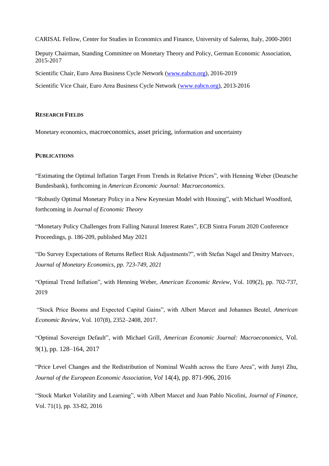CARISAL Fellow, Center for Studies in Economics and Finance, University of Salerno, Italy, 2000-2001

Deputy Chairman, Standing Committee on Monetary Theory and Policy, German Economic Association, 2015-2017

Scientific Chair, Euro Area Business Cycle Network [\(www.eabcn.org\)](http://www.eabcn.org/), 2016-2019

Scientific Vice Chair, Euro Area Business Cycle Network [\(www.eabcn.org\)](http://www.eabcn.org/), 2013-2016

#### **RESEARCH FIELDS**

Monetary economics, macroeconomics, asset pricing, information and uncertainty

### **PUBLICATIONS**

"Estimating the Optimal Inflation Target From Trends in Relative Prices", with Henning Weber (Deutsche Bundesbank), forthcoming in *American Economic Journal: Macroeconomics.*

"Robustly Optimal Monetary Policy in a New Keynesian Model with Housing", with Michael Woodford, forthcoming in *Journal of Economic Theory*

"Monetary Policy Challenges from Falling Natural Interest Rates", ECB Sintra Forum 2020 Conference Proceedings, p. 186-209, published May 2021

"Do Survey Expectations of Returns Reflect Risk Adjustments?", with Stefan Nagel and Dmitry Matveev, *Journal of Monetary Economics, pp. 723-749, 2021*

"Optimal Trend Inflation", with Henning Weber, *American Economic Review,* Vol. 109(2), pp. 702-737, 2019

"Stock Price Booms and Expected Capital Gains", with Albert Marcet and Johannes Beutel, *American Economic Review,* Vol. 107(8), 2352–2408, 2017.

"Optimal Sovereign Default", with Michael Grill, *American Economic Journal: Macroeconomics*, Vol. 9(1), pp. 128–164, 2017

"Price Level Changes and the Redistribution of Nominal Wealth across the Euro Area", with Junyi Zhu, *Journal of the European Economic Association, Vol* 14(4), pp. 871-906, 2016

"Stock Market Volatility and Learning", with Albert Marcet and Juan Pablo Nicolini, *Journal of Finance,*  Vol. 71(1), pp. 33-82, 2016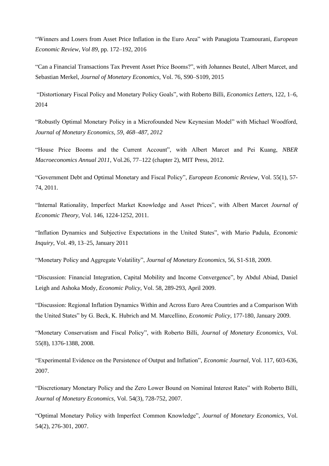"Winners and Losers from Asset Price Inflation in the Euro Area" with Panagiota Tzamourani, *European Economic Review*, *Vol 89,* pp. 172–192, 2016

"Can a Financial Transactions Tax Prevent Asset Price Booms?", with Johannes Beutel, Albert Marcet, and Sebastian Merkel, *Journal of Monetary Economics,* Vol. 76, S90–S109, 2015

"Distortionary Fiscal Policy and Monetary Policy Goals", with Roberto Billi, *Economics Letters*, 122, 1–6, 2014

"Robustly Optimal Monetary Policy in a Microfounded New Keynesian Model" with Michael Woodford, *Journal of Monetary Economics, 59, 468–487, 2012*

"House Price Booms and the Current Account", with Albert Marcet and Pei Kuang, *NBER Macroeconomics Annual 2011,* Vol.26, 77–122 (chapter 2), MIT Press, 2012.

"Government Debt and Optimal Monetary and Fiscal Policy", *European Economic Review,* Vol. 55(1), 57- 74, 2011.

"Internal Rationality, Imperfect Market Knowledge and Asset Prices", with Albert Marcet *Journal of Economic Theory,* Vol. 146, 1224-1252, 2011.

"Inflation Dynamics and Subjective Expectations in the United States", with Mario Padula, *Economic Inquiry*, Vol. 49, 13–25, January 2011

"Monetary Policy and Aggregate Volatility", *Journal of Monetary Economics,* 56, S1-S18, 2009.

"Discussion: Financial Integration, Capital Mobility and Income Convergence", by Abdul Abiad, Daniel Leigh and Ashoka Mody, *Economic Policy*, Vol. 58, 289-293, April 2009.

"Discussion: Regional Inflation Dynamics Within and Across Euro Area Countries and a Comparison With the United States" by G. Beck, K. Hubrich and M. Marcellino, *Economic Policy*, 177-180, January 2009.

"Monetary Conservatism and Fiscal Policy", with Roberto Billi, *Journal of Monetary Economics*, Vol. 55(8), 1376-1388, 2008.

"Experimental Evidence on the Persistence of Output and Inflation", *Economic Journal*, Vol. 117, 603-636, 2007.

"Discretionary Monetary Policy and the Zero Lower Bound on Nominal Interest Rates" with Roberto Billi, *Journal of Monetary Economics,* Vol. 54(3), 728-752, 2007.

"Optimal Monetary Policy with Imperfect Common Knowledge", *Journal of Monetary Economics,* Vol. 54(2), 276-301, 2007.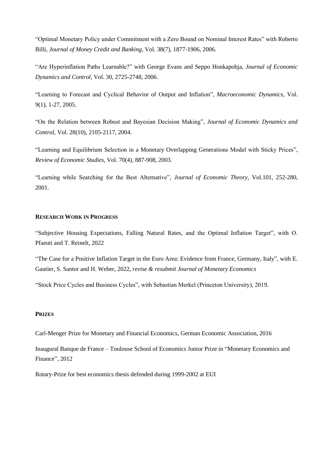"Optimal Monetary Policy under Commitment with a Zero Bound on Nominal Interest Rates" with Roberto Billi, *Journal of Money Credit and Banking*, Vol. 38(7), 1877-1906, 2006.

"Are Hyperinflation Paths Learnable?" with George Evans and Seppo Honkapohja, *Journal of Economic Dynamics and Control*, Vol. 30, 2725-2748, 2006.

"Learning to Forecast and Cyclical Behavior of Output and Inflation", *Macroeconomic Dynamics,* Vol. 9(1), 1-27, 2005.

"On the Relation between Robust and Bayesian Decision Making", *Journal of Economic Dynamics and Control,* Vol. 28(10), 2105-2117, 2004.

"Learning and Equilibrium Selection in a Monetary Overlapping Generations Model with Sticky Prices", *Review of Economic Studies,* Vol. 70(4), 887-908, 2003.

"Learning while Searching for the Best Alternative", *Journal of Economic Theory,* Vol.101, 252-280, 2001.

### **RESEARCH WORK IN PROGRESS**

"Subjective Housing Expectations, Falling Natural Rates, and the Optimal Inflation Target", with O. Pfaeuti and T. Reinelt, 2022

"The Case for a Positive Inflation Target in the Euro Area: Evidence from France, Germany, Italy", with E. Gautier, S. Santor and H. Weber, 2022, *revise & resubmit Journal of Monetary Economics*

"Stock Price Cycles and Business Cycles", with Sebastian Merkel (Princeton University), 2019.

#### **PRIZES**

Carl-Menger Prize for Monetary and Financial Economics, German Economic Association, 2016

Inaugural Banque de France – Toulouse School of Economics Junior Prize in "Monetary Economics and Finance", 2012

Rotary-Prize for best economics thesis defended during 1999-2002 at EUI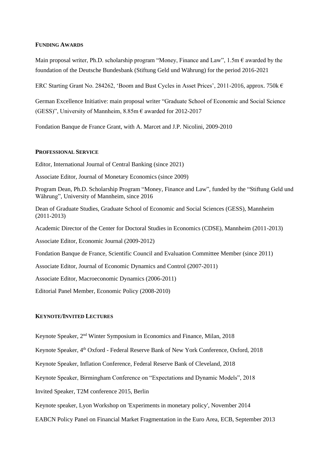#### **FUNDING AWARDS**

Main proposal writer, Ph.D. scholarship program "Money, Finance and Law", 1.5m  $\epsilon$  awarded by the foundation of the Deutsche Bundesbank (Stiftung Geld und Währung) for the period 2016-2021

ERC Starting Grant No. 284262, 'Boom and Bust Cycles in Asset Prices', 2011-2016, approx. 750k  $\epsilon$ 

German Excellence Initiative: main proposal writer "Graduate School of Economic and Social Science (GESS)", University of Mannheim,  $8.85$ m  $\epsilon$  awarded for 2012-2017

Fondation Banque de France Grant, with A. Marcet and J.P. Nicolini, 2009-2010

#### **PROFESSIONAL SERVICE**

Editor, International Journal of Central Banking (since 2021)

Associate Editor, Journal of Monetary Economics (since 2009)

Program Dean, Ph.D. Scholarship Program "Money, Finance and Law", funded by the "Stiftung Geld und Währung", University of Mannheim, since 2016

Dean of Graduate Studies, Graduate School of Economic and Social Sciences (GESS), Mannheim (2011-2013)

Academic Director of the Center for Doctoral Studies in Economics (CDSE), Mannheim (2011-2013)

Associate Editor, Economic Journal (2009-2012)

Fondation Banque de France, Scientific Council and Evaluation Committee Member (since 2011)

Associate Editor, Journal of Economic Dynamics and Control (2007-2011)

Associate Editor, Macroeconomic Dynamics (2006-2011)

Editorial Panel Member, Economic Policy (2008-2010)

#### **KEYNOTE/INVITED LECTURES**

Keynote Speaker, 2<sup>nd</sup> Winter Symposium in Economics and Finance, Milan, 2018

Keynote Speaker, 4<sup>th</sup> Oxford - Federal Reserve Bank of New York Conference, Oxford, 2018

Keynote Speaker, Inflation Conference, Federal Reserve Bank of Cleveland, 2018

Keynote Speaker, Birmingham Conference on "Expectations and Dynamic Models", 2018

Invited Speaker, T2M conference 2015, Berlin

Keynote speaker, Lyon Workshop on 'Experiments in monetary policy', November 2014

EABCN Policy Panel on Financial Market Fragmentation in the Euro Area, ECB, September 2013